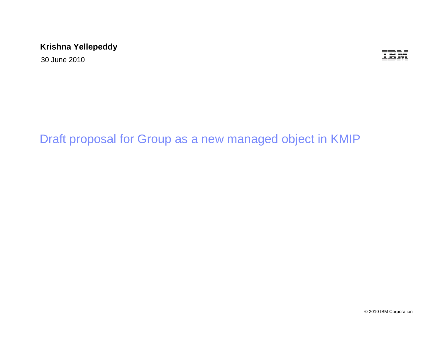#### **Krishna Yellepeddy**

30 June 2010

IBM

### Draft proposal for Group as a new managed object in KMIP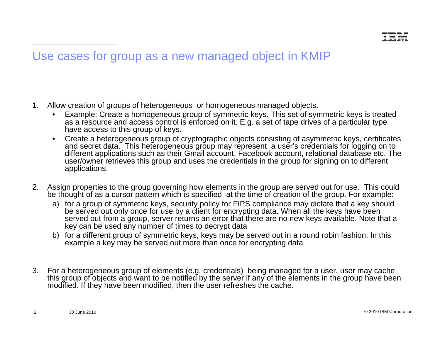### Use cases for group as a new managed object in KMIP

- 1. Allow creation of groups of heterogeneous or homogeneous managed objects.
	- • Example: Create a homogeneous group of symmetric keys. This set of symmetric keys is treated as a resource and access control is enforced on it. E.g. a set of tape drives of a particular type have access to this group of keys.
	- $\bullet$  Create a heterogeneous group of cryptographic objects consisting of asymmetric keys, certificates and secret data. This heterogeneous group may represent a user's credentials for logging on to different applications such as their Gmail account, Facebook account, relational database etc. The user/owner retrieves this group and uses the credentials in the group for signing on to different applications.
- 2. Assign properties to the group governing how elements in the group are served out for use. This could be thought of as a cursor pattern which is specified at the time of creation of the group. For example:
	- a) for a group of symmetric keys, security policy for FIPS compliance may dictate that a key should be served out only once for use by a client for encrypting data. When all the keys have been served out from a group, server returns an error that there are no new keys available. Note that a key can be used any number of times to decrypt data
	- b) for a different group of symmetric keys, keys may be served out in a round robin fashion. In this example a key may be served out more than once for encrypting data
- 3. For a heterogeneous group of elements (e.g. credentials) being managed for a user, user may cache this group of objects and want to be notified by the server if any of the elements in the group have been modified. If they have been modified, then the user refreshes the cache.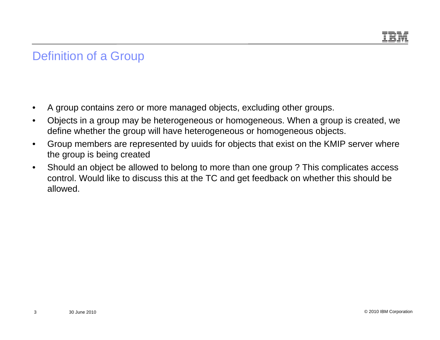### Definition of a Group

- $\bullet$ A group contains zero or more managed objects, excluding other groups.
- $\bullet$  Objects in a group may be heterogeneous or homogeneous. When a group is created, we define whether the group will have heterogeneous or homogeneous objects.
- • Group members are represented by uuids for objects that exist on the KMIP server where the group is being created
- $\bullet$  Should an object be allowed to belong to more than one group ? This complicates access control. Would like to discuss this at the TC and get feedback on whether this should be allowed.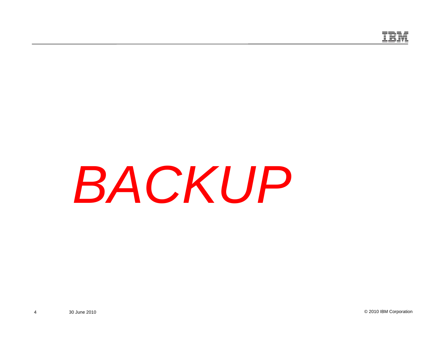

# *BACKUP*

4

30 June 2010 © 2010 IBM Corporation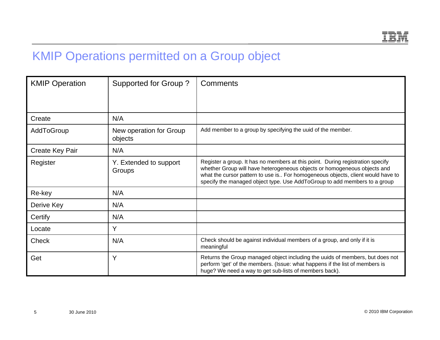

## KMIP Operations permitted on a Group object

| <b>KMIP Operation</b> | Supported for Group?               | Comments                                                                                                                                                                                                                                                                                                                   |
|-----------------------|------------------------------------|----------------------------------------------------------------------------------------------------------------------------------------------------------------------------------------------------------------------------------------------------------------------------------------------------------------------------|
|                       |                                    |                                                                                                                                                                                                                                                                                                                            |
| Create                | N/A                                |                                                                                                                                                                                                                                                                                                                            |
| AddToGroup            | New operation for Group<br>objects | Add member to a group by specifying the uuid of the member.                                                                                                                                                                                                                                                                |
| Create Key Pair       | N/A                                |                                                                                                                                                                                                                                                                                                                            |
| Register              | Y. Extended to support<br>Groups   | Register a group. It has no members at this point. During registration specify<br>whether Group will have heterogeneous objects or homogeneous objects and<br>what the cursor pattern to use is For homogeneous objects, client would have to<br>specify the managed object type. Use AddToGroup to add members to a group |
| Re-key                | N/A                                |                                                                                                                                                                                                                                                                                                                            |
| Derive Key            | N/A                                |                                                                                                                                                                                                                                                                                                                            |
| Certify               | N/A                                |                                                                                                                                                                                                                                                                                                                            |
| Locate                | Y                                  |                                                                                                                                                                                                                                                                                                                            |
| Check                 | N/A                                | Check should be against individual members of a group, and only if it is<br>meaningful                                                                                                                                                                                                                                     |
| Get                   | Y                                  | Returns the Group managed object including the uuids of members, but does not<br>perform 'get' of the members. (Issue: what happens if the list of members is<br>huge? We need a way to get sub-lists of members back).                                                                                                    |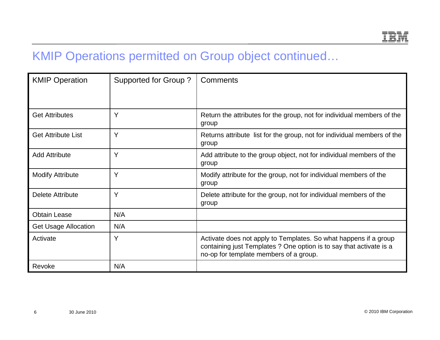### KMIP Operations permitted on Group object continued…

| <b>KMIP Operation</b>       | Supported for Group? | Comments                                                                                                                                                                          |
|-----------------------------|----------------------|-----------------------------------------------------------------------------------------------------------------------------------------------------------------------------------|
|                             |                      |                                                                                                                                                                                   |
| <b>Get Attributes</b>       | Y                    | Return the attributes for the group, not for individual members of the<br>group                                                                                                   |
| <b>Get Attribute List</b>   | Y                    | Returns attribute list for the group, not for individual members of the<br>group                                                                                                  |
| <b>Add Attribute</b>        | Y                    | Add attribute to the group object, not for individual members of the<br>group                                                                                                     |
| <b>Modify Attribute</b>     | Υ                    | Modify attribute for the group, not for individual members of the<br>group                                                                                                        |
| <b>Delete Attribute</b>     | Y                    | Delete attribute for the group, not for individual members of the<br>group                                                                                                        |
| <b>Obtain Lease</b>         | N/A                  |                                                                                                                                                                                   |
| <b>Get Usage Allocation</b> | N/A                  |                                                                                                                                                                                   |
| Activate                    | Y                    | Activate does not apply to Templates. So what happens if a group<br>containing just Templates ? One option is to say that activate is a<br>no-op for template members of a group. |
| Revoke                      | N/A                  |                                                                                                                                                                                   |